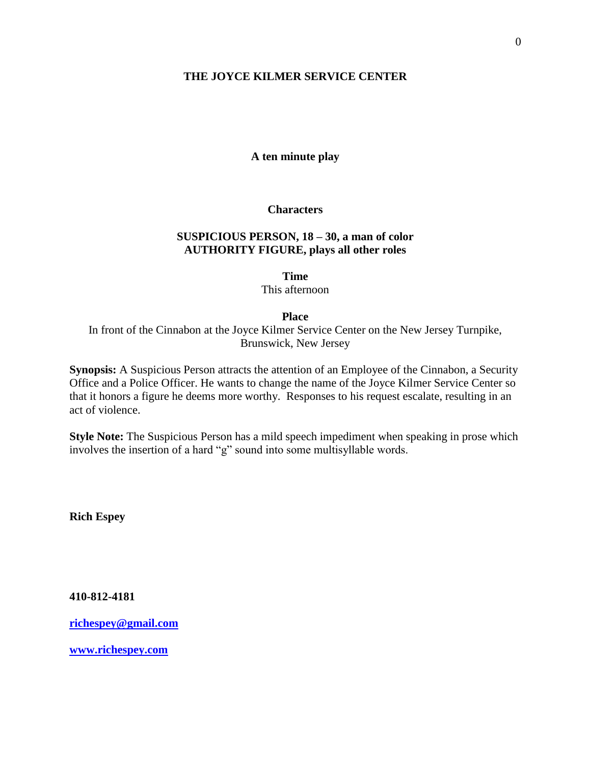## **THE JOYCE KILMER SERVICE CENTER**

### **A ten minute play**

### **Characters**

## **SUSPICIOUS PERSON, 18 – 30, a man of color AUTHORITY FIGURE, plays all other roles**

**Time**

This afternoon

#### **Place**

In front of the Cinnabon at the Joyce Kilmer Service Center on the New Jersey Turnpike, Brunswick, New Jersey

**Synopsis:** A Suspicious Person attracts the attention of an Employee of the Cinnabon, a Security Office and a Police Officer. He wants to change the name of the Joyce Kilmer Service Center so that it honors a figure he deems more worthy. Responses to his request escalate, resulting in an act of violence.

**Style Note:** The Suspicious Person has a mild speech impediment when speaking in prose which involves the insertion of a hard "g" sound into some multisyllable words.

**Rich Espey**

**410-812-4181**

**[richespey@gmail.com](mailto:richespey@gmail.com)**

**[www.richespey.com](http://www.richespey.com/)**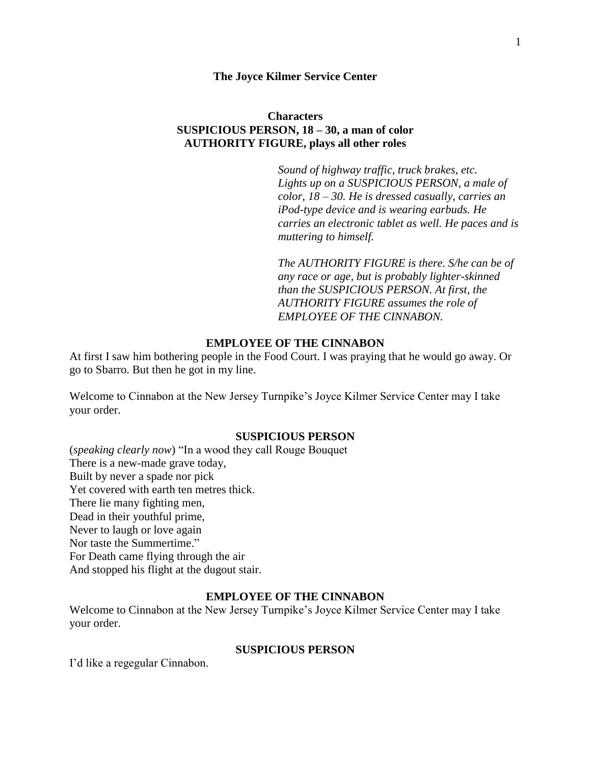### **The Joyce Kilmer Service Center**

# **Characters SUSPICIOUS PERSON, 18 – 30, a man of color AUTHORITY FIGURE, plays all other roles**

*Sound of highway traffic, truck brakes, etc. Lights up on a SUSPICIOUS PERSON, a male of color, 18 – 30. He is dressed casually, carries an iPod-type device and is wearing earbuds. He carries an electronic tablet as well. He paces and is muttering to himself.* 

*The AUTHORITY FIGURE is there. S/he can be of any race or age, but is probably lighter-skinned than the SUSPICIOUS PERSON. At first, the AUTHORITY FIGURE assumes the role of EMPLOYEE OF THE CINNABON.*

## **EMPLOYEE OF THE CINNABON**

At first I saw him bothering people in the Food Court. I was praying that he would go away. Or go to Sbarro. But then he got in my line.

Welcome to Cinnabon at the New Jersey Turnpike's Joyce Kilmer Service Center may I take your order.

### **SUSPICIOUS PERSON**

(*speaking clearly now*) "In a wood they call Rouge Bouquet There is a new-made grave today, Built by never a spade nor pick Yet covered with earth ten metres thick. There lie many fighting men, Dead in their youthful prime, Never to laugh or love again Nor taste the Summertime." For Death came flying through the air And stopped his flight at the dugout stair.

# **EMPLOYEE OF THE CINNABON**

Welcome to Cinnabon at the New Jersey Turnpike's Joyce Kilmer Service Center may I take your order.

### **SUSPICIOUS PERSON**

I'd like a regegular Cinnabon.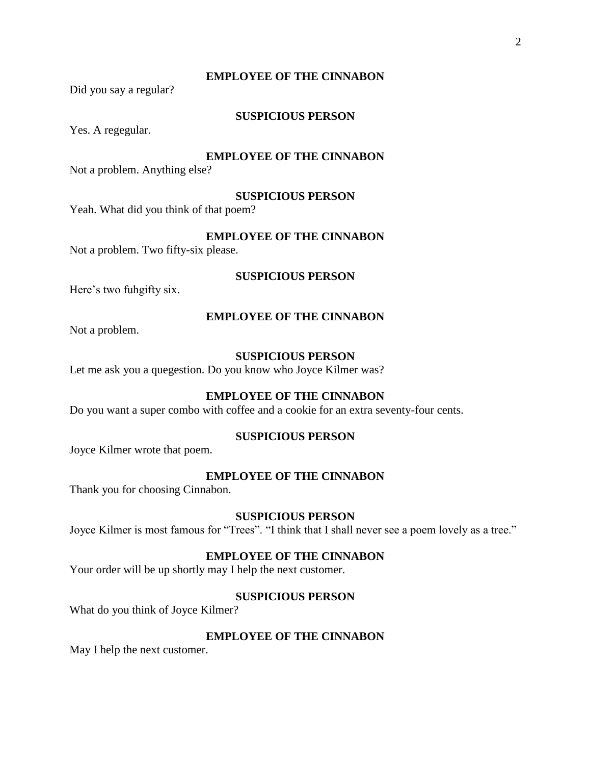### **EMPLOYEE OF THE CINNABON**

Did you say a regular?

# **SUSPICIOUS PERSON**

Yes. A regegular.

### **EMPLOYEE OF THE CINNABON**

Not a problem. Anything else?

### **SUSPICIOUS PERSON**

Yeah. What did you think of that poem?

# **EMPLOYEE OF THE CINNABON**

Not a problem. Two fifty-six please.

### **SUSPICIOUS PERSON**

Here's two fuhgifty six.

#### **EMPLOYEE OF THE CINNABON**

Not a problem.

# **SUSPICIOUS PERSON**

Let me ask you a quegestion. Do you know who Joyce Kilmer was?

# **EMPLOYEE OF THE CINNABON**

Do you want a super combo with coffee and a cookie for an extra seventy-four cents.

### **SUSPICIOUS PERSON**

Joyce Kilmer wrote that poem.

#### **EMPLOYEE OF THE CINNABON**

Thank you for choosing Cinnabon.

### **SUSPICIOUS PERSON**

Joyce Kilmer is most famous for "Trees". "I think that I shall never see a poem lovely as a tree."

#### **EMPLOYEE OF THE CINNABON**

Your order will be up shortly may I help the next customer.

## **SUSPICIOUS PERSON**

What do you think of Joyce Kilmer?

### **EMPLOYEE OF THE CINNABON**

May I help the next customer.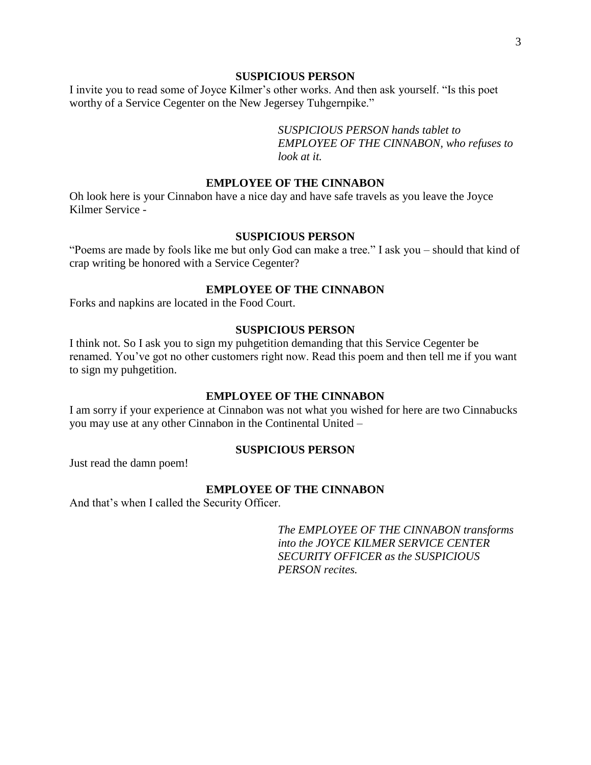I invite you to read some of Joyce Kilmer's other works. And then ask yourself. "Is this poet worthy of a Service Cegenter on the New Jegersey Tuhgernpike."

> *SUSPICIOUS PERSON hands tablet to EMPLOYEE OF THE CINNABON, who refuses to look at it.*

# **EMPLOYEE OF THE CINNABON**

Oh look here is your Cinnabon have a nice day and have safe travels as you leave the Joyce Kilmer Service -

### **SUSPICIOUS PERSON**

"Poems are made by fools like me but only God can make a tree." I ask you – should that kind of crap writing be honored with a Service Cegenter?

## **EMPLOYEE OF THE CINNABON**

Forks and napkins are located in the Food Court.

## **SUSPICIOUS PERSON**

I think not. So I ask you to sign my puhgetition demanding that this Service Cegenter be renamed. You've got no other customers right now. Read this poem and then tell me if you want to sign my puhgetition.

#### **EMPLOYEE OF THE CINNABON**

I am sorry if your experience at Cinnabon was not what you wished for here are two Cinnabucks you may use at any other Cinnabon in the Continental United –

### **SUSPICIOUS PERSON**

Just read the damn poem!

### **EMPLOYEE OF THE CINNABON**

And that's when I called the Security Officer.

*The EMPLOYEE OF THE CINNABON transforms into the JOYCE KILMER SERVICE CENTER SECURITY OFFICER as the SUSPICIOUS PERSON recites.*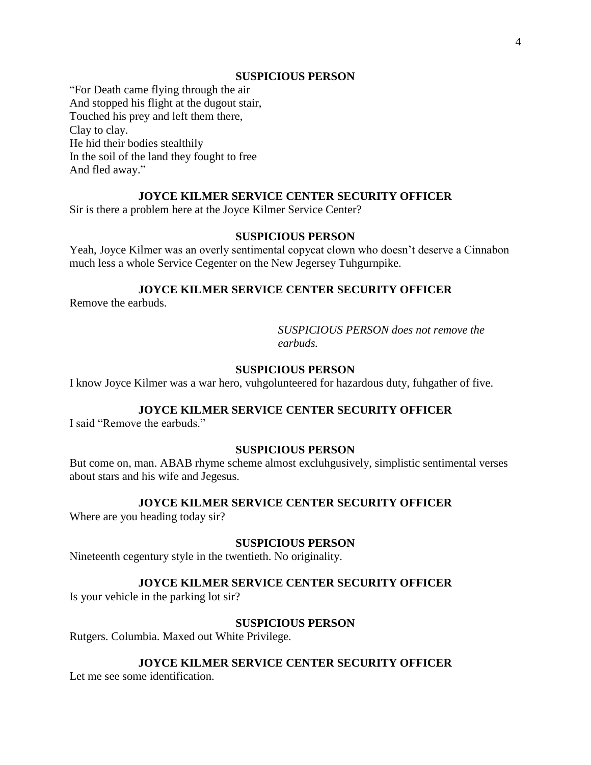"For Death came flying through the air And stopped his flight at the dugout stair, Touched his prey and left them there, Clay to clay. He hid their bodies stealthily In the soil of the land they fought to free And fled away."

# **JOYCE KILMER SERVICE CENTER SECURITY OFFICER**

Sir is there a problem here at the Joyce Kilmer Service Center?

### **SUSPICIOUS PERSON**

Yeah, Joyce Kilmer was an overly sentimental copycat clown who doesn't deserve a Cinnabon much less a whole Service Cegenter on the New Jegersey Tuhgurnpike.

## **JOYCE KILMER SERVICE CENTER SECURITY OFFICER**

Remove the earbuds.

*SUSPICIOUS PERSON does not remove the earbuds.*

## **SUSPICIOUS PERSON**

I know Joyce Kilmer was a war hero, vuhgolunteered for hazardous duty, fuhgather of five.

# **JOYCE KILMER SERVICE CENTER SECURITY OFFICER**

I said "Remove the earbuds."

# **SUSPICIOUS PERSON**

But come on, man. ABAB rhyme scheme almost excluhgusively, simplistic sentimental verses about stars and his wife and Jegesus.

#### **JOYCE KILMER SERVICE CENTER SECURITY OFFICER**

Where are you heading today sir?

#### **SUSPICIOUS PERSON**

Nineteenth cegentury style in the twentieth. No originality.

## **JOYCE KILMER SERVICE CENTER SECURITY OFFICER**

Is your vehicle in the parking lot sir?

### **SUSPICIOUS PERSON**

Rutgers. Columbia. Maxed out White Privilege.

#### **JOYCE KILMER SERVICE CENTER SECURITY OFFICER**

Let me see some identification.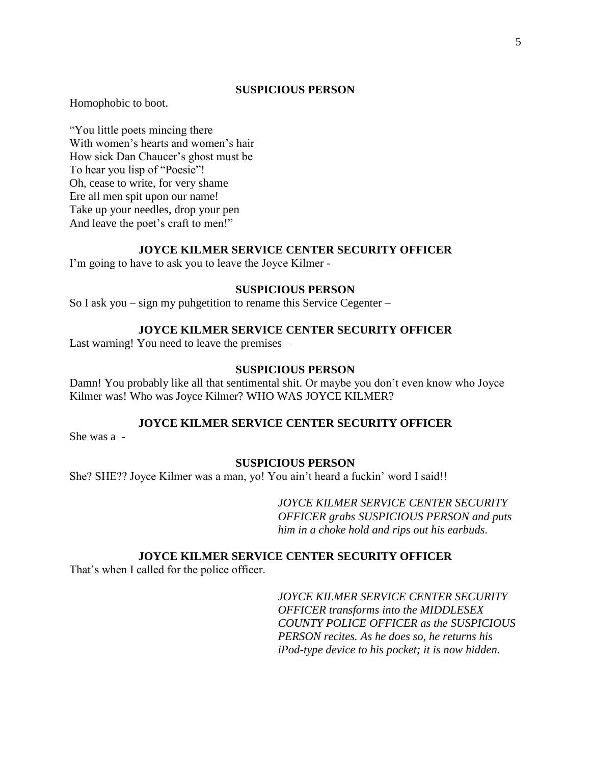Homophobic to boot.

"You little poets mincing there With women's hearts and women's hair How sick Dan Chaucer's ghost must be To hear you lisp of "Poesie"! Oh, cease to write, for very shame Ere all men spit upon our name! Take up your needles, drop your pen And leave the poet's craft to men!"

### **JOYCE KILMER SERVICE CENTER SECURITY OFFICER**

I'm going to have to ask you to leave the Joyce Kilmer -

### **SUSPICIOUS PERSON**

So I ask you – sign my puhgetition to rename this Service Cegenter –

### **JOYCE KILMER SERVICE CENTER SECURITY OFFICER**

Last warning! You need to leave the premises –

## **SUSPICIOUS PERSON**

Damn! You probably like all that sentimental shit. Or maybe you don't even know who Joyce Kilmer was! Who was Joyce Kilmer? WHO WAS JOYCE KILMER?

### **JOYCE KILMER SERVICE CENTER SECURITY OFFICER**

She was a -

## **SUSPICIOUS PERSON**

She? SHE?? Joyce Kilmer was a man, yo! You ain't heard a fuckin' word I said!!

*JOYCE KILMER SERVICE CENTER SECURITY OFFICER grabs SUSPICIOUS PERSON and puts him in a choke hold and rips out his earbuds.*

#### **JOYCE KILMER SERVICE CENTER SECURITY OFFICER**

That's when I called for the police officer.

*JOYCE KILMER SERVICE CENTER SECURITY OFFICER transforms into the MIDDLESEX COUNTY POLICE OFFICER as the SUSPICIOUS PERSON recites. As he does so, he returns his iPod-type device to his pocket; it is now hidden.*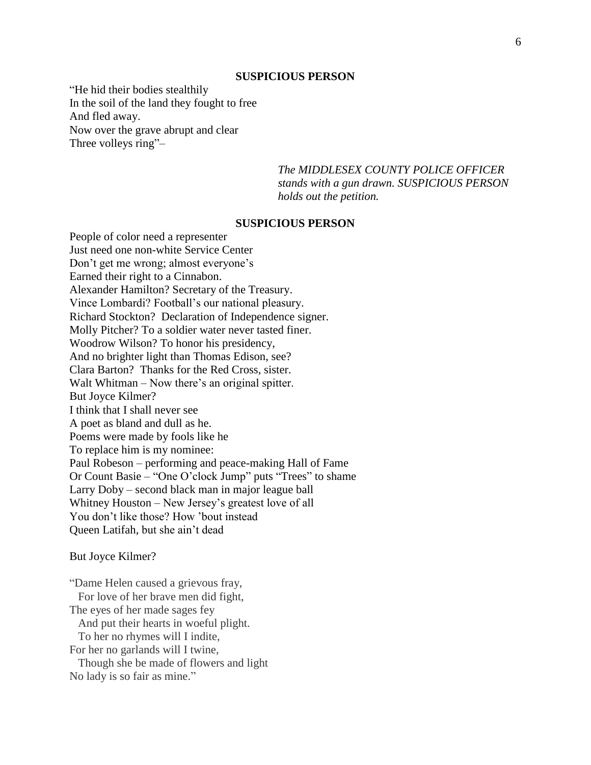"He hid their bodies stealthily In the soil of the land they fought to free And fled away. Now over the grave abrupt and clear Three volleys ring"–

> *The MIDDLESEX COUNTY POLICE OFFICER stands with a gun drawn. SUSPICIOUS PERSON holds out the petition.*

# **SUSPICIOUS PERSON**

People of color need a representer Just need one non-white Service Center Don't get me wrong; almost everyone's Earned their right to a Cinnabon. Alexander Hamilton? Secretary of the Treasury. Vince Lombardi? Football's our national pleasury. Richard Stockton? Declaration of Independence signer. Molly Pitcher? To a soldier water never tasted finer. Woodrow Wilson? To honor his presidency, And no brighter light than Thomas Edison, see? Clara Barton? Thanks for the Red Cross, sister. Walt Whitman – Now there's an original spitter. But Joyce Kilmer? I think that I shall never see A poet as bland and dull as he. Poems were made by fools like he To replace him is my nominee: Paul Robeson – performing and peace-making Hall of Fame Or Count Basie – "One O'clock Jump" puts "Trees" to shame Larry Doby – second black man in major league ball Whitney Houston – New Jersey's greatest love of all You don't like those? How 'bout instead Queen Latifah, but she ain't dead

But Joyce Kilmer?

"Dame Helen caused a grievous fray, For love of her brave men did fight, The eyes of her made sages fey And put their hearts in woeful plight. To her no rhymes will I indite, For her no garlands will I twine, Though she be made of flowers and light No lady is so fair as mine."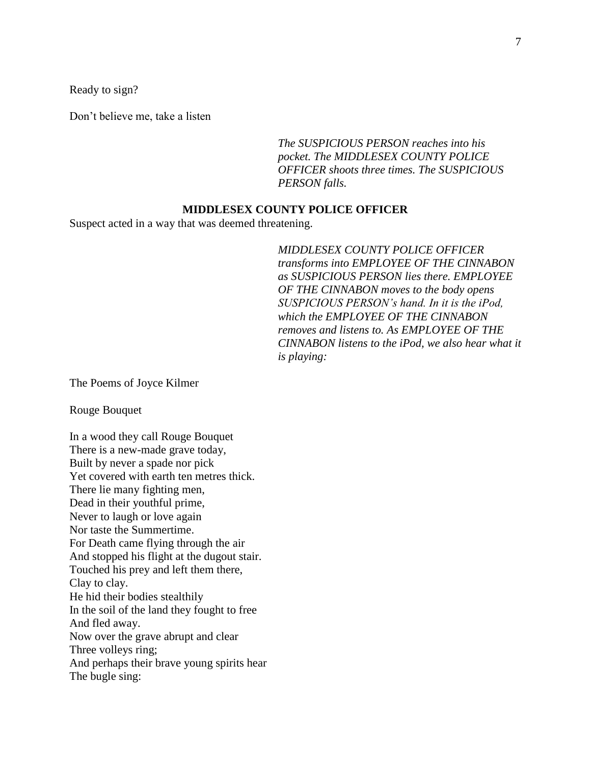Ready to sign?

Don't believe me, take a listen

*The SUSPICIOUS PERSON reaches into his pocket. The MIDDLESEX COUNTY POLICE OFFICER shoots three times. The SUSPICIOUS PERSON falls.* 

## **MIDDLESEX COUNTY POLICE OFFICER**

Suspect acted in a way that was deemed threatening.

*MIDDLESEX COUNTY POLICE OFFICER transforms into EMPLOYEE OF THE CINNABON as SUSPICIOUS PERSON lies there. EMPLOYEE OF THE CINNABON moves to the body opens SUSPICIOUS PERSON's hand. In it is the iPod, which the EMPLOYEE OF THE CINNABON removes and listens to. As EMPLOYEE OF THE CINNABON listens to the iPod, we also hear what it is playing:*

The Poems of Joyce Kilmer

Rouge Bouquet

In a wood they call Rouge Bouquet There is a new-made grave today, Built by never a spade nor pick Yet covered with earth ten metres thick. There lie many fighting men, Dead in their youthful prime, Never to laugh or love again Nor taste the Summertime. For Death came flying through the air And stopped his flight at the dugout stair. Touched his prey and left them there, Clay to clay. He hid their bodies stealthily In the soil of the land they fought to free And fled away. Now over the grave abrupt and clear Three volleys ring; And perhaps their brave young spirits hear The bugle sing: